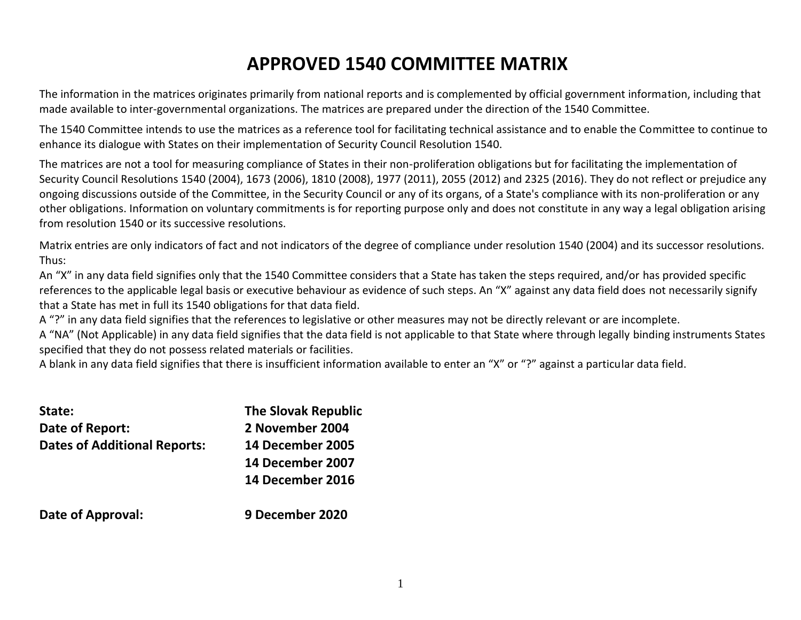# **APPROVED 1540 COMMITTEE MATRIX**

The information in the matrices originates primarily from national reports and is complemented by official government information, including that made available to inter-governmental organizations. The matrices are prepared under the direction of the 1540 Committee.

The 1540 Committee intends to use the matrices as a reference tool for facilitating technical assistance and to enable the Committee to continue to enhance its dialogue with States on their implementation of Security Council Resolution 1540.

The matrices are not a tool for measuring compliance of States in their non-proliferation obligations but for facilitating the implementation of Security Council Resolutions 1540 (2004), 1673 (2006), 1810 (2008), 1977 (2011), 2055 (2012) and 2325 (2016). They do not reflect or prejudice any ongoing discussions outside of the Committee, in the Security Council or any of its organs, of a State's compliance with its non-proliferation or any other obligations. Information on voluntary commitments is for reporting purpose only and does not constitute in any way a legal obligation arising from resolution 1540 or its successive resolutions.

Matrix entries are only indicators of fact and not indicators of the degree of compliance under resolution 1540 (2004) and its successor resolutions. Thus:

An "X" in any data field signifies only that the 1540 Committee considers that a State has taken the steps required, and/or has provided specific references to the applicable legal basis or executive behaviour as evidence of such steps. An "X" against any data field does not necessarily signify that a State has met in full its 1540 obligations for that data field.

A "?" in any data field signifies that the references to legislative or other measures may not be directly relevant or are incomplete.

A "NA" (Not Applicable) in any data field signifies that the data field is not applicable to that State where through legally binding instruments States specified that they do not possess related materials or facilities.

A blank in any data field signifies that there is insufficient information available to enter an "X" or "?" against a particular data field.

| State:                              | <b>The Slovak Republic</b> |
|-------------------------------------|----------------------------|
| Date of Report:                     | 2 November 2004            |
| <b>Dates of Additional Reports:</b> | <b>14 December 2005</b>    |
|                                     | 14 December 2007           |
|                                     | 14 December 2016           |
| Date of Approval:                   | 9 December 2020            |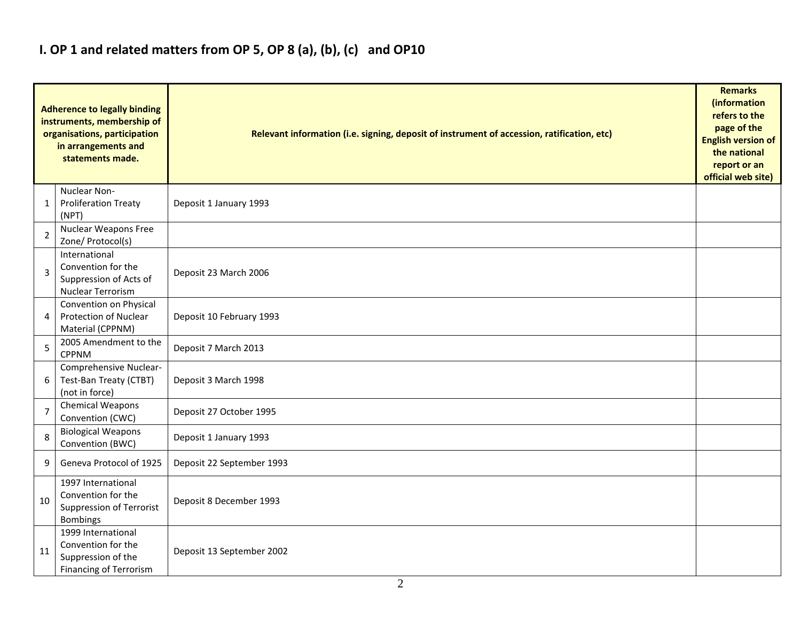### **I. OP 1 and related matters from OP 5, OP 8 (a), (b), (c) and OP10**

|                | <b>Adherence to legally binding</b><br>instruments, membership of<br>organisations, participation<br>in arrangements and<br>statements made. | Relevant information (i.e. signing, deposit of instrument of accession, ratification, etc) |  |  |  |  |  |  |  |  |
|----------------|----------------------------------------------------------------------------------------------------------------------------------------------|--------------------------------------------------------------------------------------------|--|--|--|--|--|--|--|--|
| 1              | Nuclear Non-<br><b>Proliferation Treaty</b><br>(NPT)                                                                                         | Deposit 1 January 1993                                                                     |  |  |  |  |  |  |  |  |
| 2              | Nuclear Weapons Free<br>Zone/ Protocol(s)                                                                                                    |                                                                                            |  |  |  |  |  |  |  |  |
| 3              | International<br>Convention for the<br>Suppression of Acts of<br>Nuclear Terrorism                                                           | Deposit 23 March 2006                                                                      |  |  |  |  |  |  |  |  |
| 4              | Convention on Physical<br><b>Protection of Nuclear</b><br>Material (CPPNM)                                                                   | Deposit 10 February 1993                                                                   |  |  |  |  |  |  |  |  |
| 5              | 2005 Amendment to the<br><b>CPPNM</b>                                                                                                        | Deposit 7 March 2013                                                                       |  |  |  |  |  |  |  |  |
| 6              | Comprehensive Nuclear-<br>Test-Ban Treaty (CTBT)<br>(not in force)                                                                           | Deposit 3 March 1998                                                                       |  |  |  |  |  |  |  |  |
| $\overline{7}$ | Chemical Weapons<br>Convention (CWC)                                                                                                         | Deposit 27 October 1995                                                                    |  |  |  |  |  |  |  |  |
| 8              | <b>Biological Weapons</b><br>Convention (BWC)                                                                                                | Deposit 1 January 1993                                                                     |  |  |  |  |  |  |  |  |
| 9              | Geneva Protocol of 1925                                                                                                                      | Deposit 22 September 1993                                                                  |  |  |  |  |  |  |  |  |
| 10             | 1997 International<br>Convention for the<br><b>Suppression of Terrorist</b><br><b>Bombings</b>                                               | Deposit 8 December 1993                                                                    |  |  |  |  |  |  |  |  |
| 11             | 1999 International<br>Convention for the<br>Suppression of the<br><b>Financing of Terrorism</b>                                              | Deposit 13 September 2002                                                                  |  |  |  |  |  |  |  |  |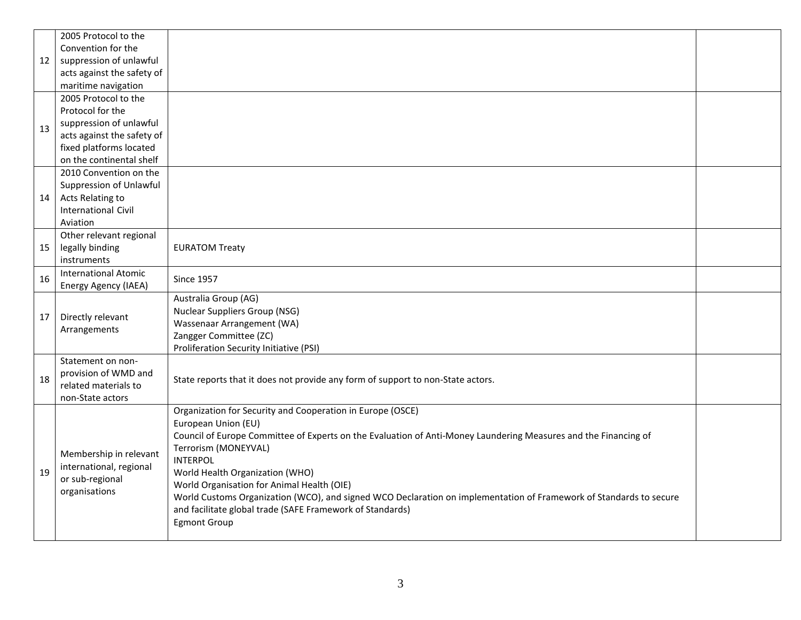|    | 2005 Protocol to the        |                                                                                                                                                                                                        |  |  |  |  |  |  |  |  |
|----|-----------------------------|--------------------------------------------------------------------------------------------------------------------------------------------------------------------------------------------------------|--|--|--|--|--|--|--|--|
|    | Convention for the          |                                                                                                                                                                                                        |  |  |  |  |  |  |  |  |
| 12 | suppression of unlawful     |                                                                                                                                                                                                        |  |  |  |  |  |  |  |  |
|    | acts against the safety of  |                                                                                                                                                                                                        |  |  |  |  |  |  |  |  |
|    | maritime navigation         |                                                                                                                                                                                                        |  |  |  |  |  |  |  |  |
|    | 2005 Protocol to the        |                                                                                                                                                                                                        |  |  |  |  |  |  |  |  |
|    | Protocol for the            |                                                                                                                                                                                                        |  |  |  |  |  |  |  |  |
| 13 | suppression of unlawful     |                                                                                                                                                                                                        |  |  |  |  |  |  |  |  |
|    | acts against the safety of  |                                                                                                                                                                                                        |  |  |  |  |  |  |  |  |
|    | fixed platforms located     |                                                                                                                                                                                                        |  |  |  |  |  |  |  |  |
|    | on the continental shelf    |                                                                                                                                                                                                        |  |  |  |  |  |  |  |  |
|    | 2010 Convention on the      |                                                                                                                                                                                                        |  |  |  |  |  |  |  |  |
|    | Suppression of Unlawful     |                                                                                                                                                                                                        |  |  |  |  |  |  |  |  |
| 14 | Acts Relating to            |                                                                                                                                                                                                        |  |  |  |  |  |  |  |  |
|    | <b>International Civil</b>  |                                                                                                                                                                                                        |  |  |  |  |  |  |  |  |
|    | Aviation                    |                                                                                                                                                                                                        |  |  |  |  |  |  |  |  |
|    | Other relevant regional     |                                                                                                                                                                                                        |  |  |  |  |  |  |  |  |
| 15 | legally binding             | <b>EURATOM Treaty</b>                                                                                                                                                                                  |  |  |  |  |  |  |  |  |
|    | instruments                 |                                                                                                                                                                                                        |  |  |  |  |  |  |  |  |
| 16 | <b>International Atomic</b> | <b>Since 1957</b>                                                                                                                                                                                      |  |  |  |  |  |  |  |  |
|    | Energy Agency (IAEA)        |                                                                                                                                                                                                        |  |  |  |  |  |  |  |  |
|    |                             | Australia Group (AG)                                                                                                                                                                                   |  |  |  |  |  |  |  |  |
| 17 | Directly relevant           | <b>Nuclear Suppliers Group (NSG)</b>                                                                                                                                                                   |  |  |  |  |  |  |  |  |
|    | Arrangements                | Wassenaar Arrangement (WA)                                                                                                                                                                             |  |  |  |  |  |  |  |  |
|    |                             | Zangger Committee (ZC)                                                                                                                                                                                 |  |  |  |  |  |  |  |  |
|    |                             | Proliferation Security Initiative (PSI)                                                                                                                                                                |  |  |  |  |  |  |  |  |
|    | Statement on non-           |                                                                                                                                                                                                        |  |  |  |  |  |  |  |  |
| 18 | provision of WMD and        | State reports that it does not provide any form of support to non-State actors.                                                                                                                        |  |  |  |  |  |  |  |  |
|    | related materials to        |                                                                                                                                                                                                        |  |  |  |  |  |  |  |  |
|    | non-State actors            | Organization for Security and Cooperation in Europe (OSCE)                                                                                                                                             |  |  |  |  |  |  |  |  |
|    |                             | European Union (EU)                                                                                                                                                                                    |  |  |  |  |  |  |  |  |
|    |                             | Council of Europe Committee of Experts on the Evaluation of Anti-Money Laundering Measures and the Financing of                                                                                        |  |  |  |  |  |  |  |  |
|    |                             | Terrorism (MONEYVAL)                                                                                                                                                                                   |  |  |  |  |  |  |  |  |
|    | Membership in relevant      | <b>INTERPOL</b>                                                                                                                                                                                        |  |  |  |  |  |  |  |  |
| 19 | international, regional     | World Health Organization (WHO)                                                                                                                                                                        |  |  |  |  |  |  |  |  |
|    | or sub-regional             |                                                                                                                                                                                                        |  |  |  |  |  |  |  |  |
|    | organisations               | World Organisation for Animal Health (OIE)                                                                                                                                                             |  |  |  |  |  |  |  |  |
|    |                             | World Customs Organization (WCO), and signed WCO Declaration on implementation of Framework of Standards to secure<br>and facilitate global trade (SAFE Framework of Standards)<br><b>Egmont Group</b> |  |  |  |  |  |  |  |  |
|    |                             |                                                                                                                                                                                                        |  |  |  |  |  |  |  |  |
|    |                             |                                                                                                                                                                                                        |  |  |  |  |  |  |  |  |
|    |                             |                                                                                                                                                                                                        |  |  |  |  |  |  |  |  |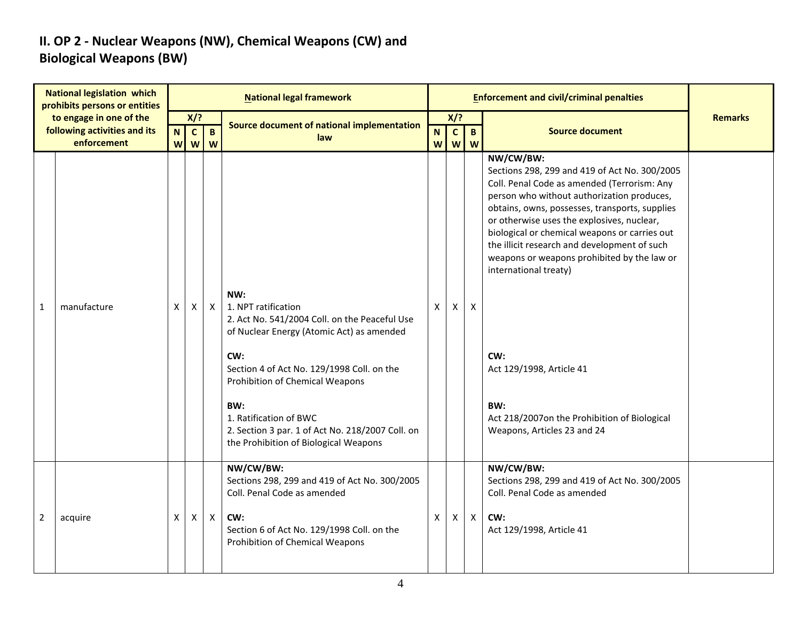### **II. OP 2 - Nuclear Weapons (NW), Chemical Weapons (CW) and Biological Weapons (BW)**

|                | <b>National legislation which</b><br>prohibits persons or entities     |        |                          |                   | <b>National legal framework</b>                                                                                                                                                                                                                                                                                                                |                             |                          |                     | <b>Enforcement and civil/criminal penalties</b>                                                                                                                                                                                                                                                                                                                                                                                                                                                                                                           |                |
|----------------|------------------------------------------------------------------------|--------|--------------------------|-------------------|------------------------------------------------------------------------------------------------------------------------------------------------------------------------------------------------------------------------------------------------------------------------------------------------------------------------------------------------|-----------------------------|--------------------------|---------------------|-----------------------------------------------------------------------------------------------------------------------------------------------------------------------------------------------------------------------------------------------------------------------------------------------------------------------------------------------------------------------------------------------------------------------------------------------------------------------------------------------------------------------------------------------------------|----------------|
|                | to engage in one of the<br>following activities and its<br>enforcement | N<br>W | X/?<br>$\mathbf{C}$<br>W | $\mathbf{B}$<br>W | Source document of national implementation<br>law                                                                                                                                                                                                                                                                                              | $\mathbf N$<br>$\mathsf{W}$ | X/?<br>$\mathbf{c}$<br>W | $\overline{B}$<br>W | <b>Source document</b>                                                                                                                                                                                                                                                                                                                                                                                                                                                                                                                                    | <b>Remarks</b> |
| $\mathbf{1}$   | manufacture                                                            | X      | X                        | $\mathsf{X}$      | NW:<br>1. NPT ratification<br>2. Act No. 541/2004 Coll. on the Peaceful Use<br>of Nuclear Energy (Atomic Act) as amended<br>CW:<br>Section 4 of Act No. 129/1998 Coll. on the<br>Prohibition of Chemical Weapons<br>BW:<br>1. Ratification of BWC<br>2. Section 3 par. 1 of Act No. 218/2007 Coll. on<br>the Prohibition of Biological Weapons | X                           | X                        | X                   | NW/CW/BW:<br>Sections 298, 299 and 419 of Act No. 300/2005<br>Coll. Penal Code as amended (Terrorism: Any<br>person who without authorization produces,<br>obtains, owns, possesses, transports, supplies<br>or otherwise uses the explosives, nuclear,<br>biological or chemical weapons or carries out<br>the illicit research and development of such<br>weapons or weapons prohibited by the law or<br>international treaty)<br>CW:<br>Act 129/1998, Article 41<br>BW:<br>Act 218/2007on the Prohibition of Biological<br>Weapons, Articles 23 and 24 |                |
| $\overline{2}$ | acquire                                                                | X      | X                        | $\mathsf{X}$      | NW/CW/BW:<br>Sections 298, 299 and 419 of Act No. 300/2005<br>Coll. Penal Code as amended<br>CW:<br>Section 6 of Act No. 129/1998 Coll. on the<br>Prohibition of Chemical Weapons                                                                                                                                                              | X                           | X                        | $\mathsf{X}$        | NW/CW/BW:<br>Sections 298, 299 and 419 of Act No. 300/2005<br>Coll. Penal Code as amended<br>CW:<br>Act 129/1998, Article 41                                                                                                                                                                                                                                                                                                                                                                                                                              |                |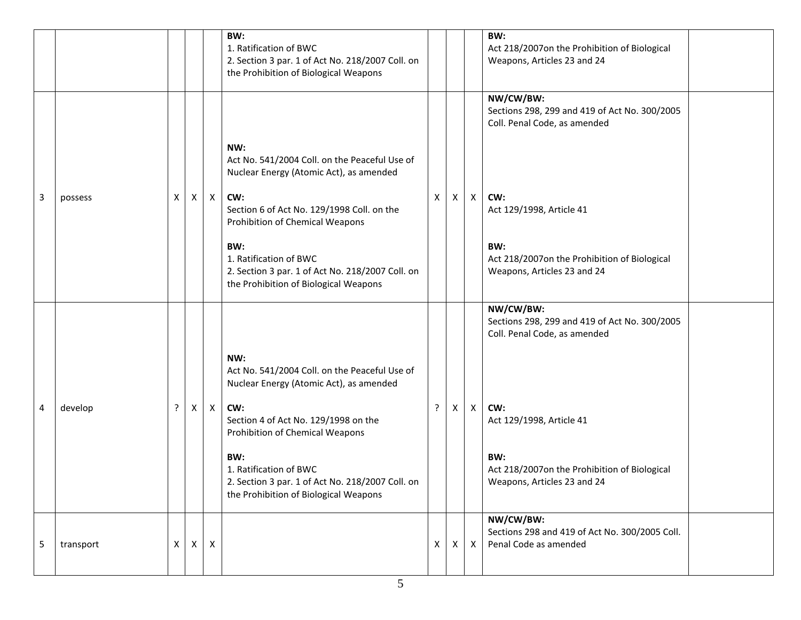|   |           |   |   |              | BW:<br>1. Ratification of BWC<br>2. Section 3 par. 1 of Act No. 218/2007 Coll. on<br>the Prohibition of Biological Weapons                                                                                                                                                                                            |              |              |   | BW:<br>Act 218/2007on the Prohibition of Biological<br>Weapons, Articles 23 and 24                                                                                                                                  |
|---|-----------|---|---|--------------|-----------------------------------------------------------------------------------------------------------------------------------------------------------------------------------------------------------------------------------------------------------------------------------------------------------------------|--------------|--------------|---|---------------------------------------------------------------------------------------------------------------------------------------------------------------------------------------------------------------------|
| 3 | possess   | X | X | $\mathsf{X}$ | NW:<br>Act No. 541/2004 Coll. on the Peaceful Use of<br>Nuclear Energy (Atomic Act), as amended<br>CW:<br>Section 6 of Act No. 129/1998 Coll. on the<br>Prohibition of Chemical Weapons<br>BW:<br>1. Ratification of BWC<br>2. Section 3 par. 1 of Act No. 218/2007 Coll. on<br>the Prohibition of Biological Weapons | X            | $\mathsf{X}$ | Χ | NW/CW/BW:<br>Sections 298, 299 and 419 of Act No. 300/2005<br>Coll. Penal Code, as amended<br>CW:<br>Act 129/1998, Article 41<br>BW:<br>Act 218/2007on the Prohibition of Biological<br>Weapons, Articles 23 and 24 |
| 4 | develop   |   | X | $\mathsf{X}$ | NW:<br>Act No. 541/2004 Coll. on the Peaceful Use of<br>Nuclear Energy (Atomic Act), as amended<br>CW:<br>Section 4 of Act No. 129/1998 on the<br>Prohibition of Chemical Weapons<br>BW:<br>1. Ratification of BWC<br>2. Section 3 par. 1 of Act No. 218/2007 Coll. on<br>the Prohibition of Biological Weapons       | ?            | X            | Χ | NW/CW/BW:<br>Sections 298, 299 and 419 of Act No. 300/2005<br>Coll. Penal Code, as amended<br>CW:<br>Act 129/1998, Article 41<br>BW:<br>Act 218/2007on the Prohibition of Biological<br>Weapons, Articles 23 and 24 |
| 5 | transport | X | X | $\mathsf{X}$ |                                                                                                                                                                                                                                                                                                                       | $\mathsf{X}$ | $\times$     | X | NW/CW/BW:<br>Sections 298 and 419 of Act No. 300/2005 Coll.<br>Penal Code as amended                                                                                                                                |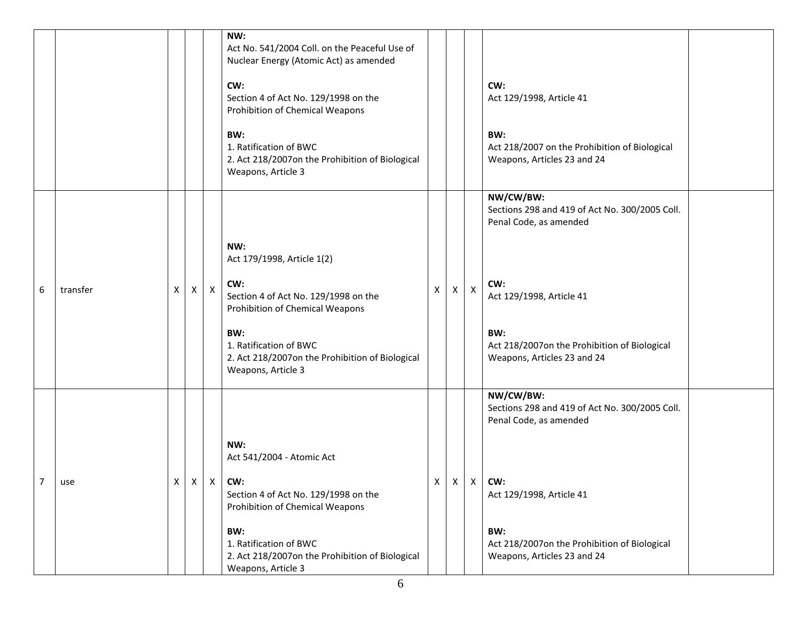|                |          |   |                    |              | NW:<br>Act No. 541/2004 Coll. on the Peaceful Use of<br>Nuclear Energy (Atomic Act) as amended<br>CW:<br>Section 4 of Act No. 129/1998 on the<br>Prohibition of Chemical Weapons<br>BW:<br>1. Ratification of BWC<br>2. Act 218/2007on the Prohibition of Biological<br>Weapons, Article 3 |   |              |                | CW:<br>Act 129/1998, Article 41<br>BW:<br>Act 218/2007 on the Prohibition of Biological<br>Weapons, Articles 23 and 24                                                                                         |  |
|----------------|----------|---|--------------------|--------------|--------------------------------------------------------------------------------------------------------------------------------------------------------------------------------------------------------------------------------------------------------------------------------------------|---|--------------|----------------|----------------------------------------------------------------------------------------------------------------------------------------------------------------------------------------------------------------|--|
| 6              | transfer | X | $\pmb{\mathsf{X}}$ | $\mathsf{X}$ | NW:<br>Act 179/1998, Article 1(2)<br>CW:<br>Section 4 of Act No. 129/1998 on the<br>Prohibition of Chemical Weapons<br>BW:<br>1. Ratification of BWC<br>2. Act 218/2007on the Prohibition of Biological<br>Weapons, Article 3                                                              | X | X            | $\pmb{\times}$ | NW/CW/BW:<br>Sections 298 and 419 of Act No. 300/2005 Coll.<br>Penal Code, as amended<br>CW:<br>Act 129/1998, Article 41<br>BW:<br>Act 218/2007on the Prohibition of Biological<br>Weapons, Articles 23 and 24 |  |
| $\overline{7}$ | use      | Χ |                    |              | NW:<br>Act 541/2004 - Atomic Act<br>$X \times  CW$<br>Section 4 of Act No. 129/1998 on the<br>Prohibition of Chemical Weapons<br>BW:<br>1. Ratification of BWC<br>2. Act 218/2007on the Prohibition of Biological<br>Weapons, Article 3                                                    | X | $\mathsf{X}$ | X              | NW/CW/BW:<br>Sections 298 and 419 of Act No. 300/2005 Coll.<br>Penal Code, as amended<br>CW:<br>Act 129/1998, Article 41<br>BW:<br>Act 218/2007on the Prohibition of Biological<br>Weapons, Articles 23 and 24 |  |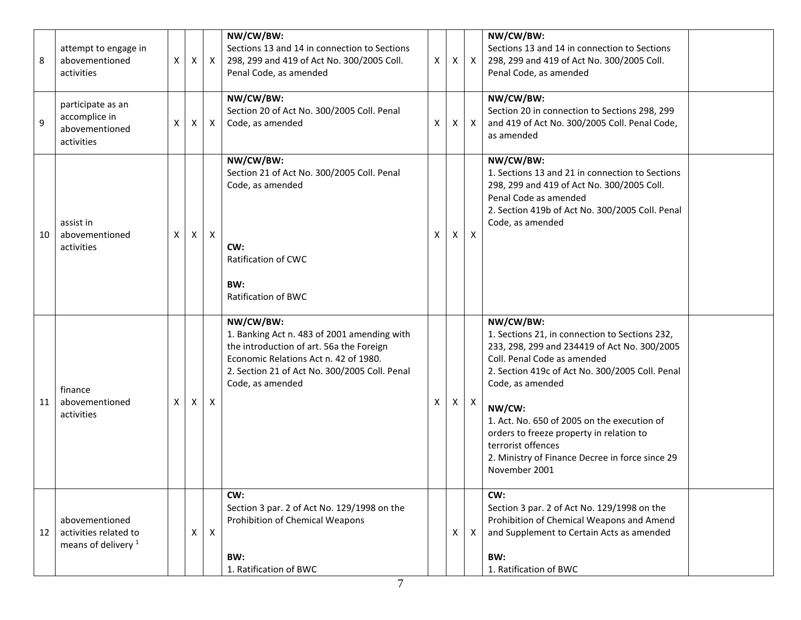| 8  | attempt to engage in<br>abovementioned<br>activities                      | X        | $\mathsf{X}$              | $\mathsf{X}$ | NW/CW/BW:<br>Sections 13 and 14 in connection to Sections<br>298, 299 and 419 of Act No. 300/2005 Coll.<br>Penal Code, as amended                                                                                  | $\mathsf{X}$ | X | $\mathsf{X}$              | NW/CW/BW:<br>Sections 13 and 14 in connection to Sections<br>298, 299 and 419 of Act No. 300/2005 Coll.<br>Penal Code, as amended                                                                                                                                                                                                                                                                                |  |
|----|---------------------------------------------------------------------------|----------|---------------------------|--------------|--------------------------------------------------------------------------------------------------------------------------------------------------------------------------------------------------------------------|--------------|---|---------------------------|------------------------------------------------------------------------------------------------------------------------------------------------------------------------------------------------------------------------------------------------------------------------------------------------------------------------------------------------------------------------------------------------------------------|--|
| 9  | participate as an<br>accomplice in<br>abovementioned<br>activities        | X        | $\mathsf{X}$              | $\mathsf{X}$ | NW/CW/BW:<br>Section 20 of Act No. 300/2005 Coll. Penal<br>Code, as amended                                                                                                                                        | X            | X | $\mathsf{X}$              | NW/CW/BW:<br>Section 20 in connection to Sections 298, 299<br>and 419 of Act No. 300/2005 Coll. Penal Code,<br>as amended                                                                                                                                                                                                                                                                                        |  |
| 10 | assist in<br>abovementioned<br>activities                                 | $\times$ | $\mathsf{X}$              | $\mathsf{X}$ | NW/CW/BW:<br>Section 21 of Act No. 300/2005 Coll. Penal<br>Code, as amended<br>CW:<br>Ratification of CWC<br>BW:<br><b>Ratification of BWC</b>                                                                     | X            | X | $\boldsymbol{\mathsf{X}}$ | NW/CW/BW:<br>1. Sections 13 and 21 in connection to Sections<br>298, 299 and 419 of Act No. 300/2005 Coll.<br>Penal Code as amended<br>2. Section 419b of Act No. 300/2005 Coll. Penal<br>Code, as amended                                                                                                                                                                                                       |  |
| 11 | finance<br>abovementioned<br>activities                                   | X.       | $\boldsymbol{\mathsf{X}}$ | X            | NW/CW/BW:<br>1. Banking Act n. 483 of 2001 amending with<br>the introduction of art. 56a the Foreign<br>Economic Relations Act n. 42 of 1980.<br>2. Section 21 of Act No. 300/2005 Coll. Penal<br>Code, as amended | Χ            | X | $\mathsf{X}$              | NW/CW/BW:<br>1. Sections 21, in connection to Sections 232,<br>233, 298, 299 and 234419 of Act No. 300/2005<br>Coll. Penal Code as amended<br>2. Section 419c of Act No. 300/2005 Coll. Penal<br>Code, as amended<br>NW/CW:<br>1. Act. No. 650 of 2005 on the execution of<br>orders to freeze property in relation to<br>terrorist offences<br>2. Ministry of Finance Decree in force since 29<br>November 2001 |  |
| 12 | abovementioned<br>activities related to<br>means of delivery <sup>1</sup> |          | X                         | $\mathsf{X}$ | CW:<br>Section 3 par. 2 of Act No. 129/1998 on the<br>Prohibition of Chemical Weapons<br>BW:<br>1. Ratification of BWC                                                                                             |              | X | $\mathsf{X}$              | CW:<br>Section 3 par. 2 of Act No. 129/1998 on the<br>Prohibition of Chemical Weapons and Amend<br>and Supplement to Certain Acts as amended<br>BW:<br>1. Ratification of BWC                                                                                                                                                                                                                                    |  |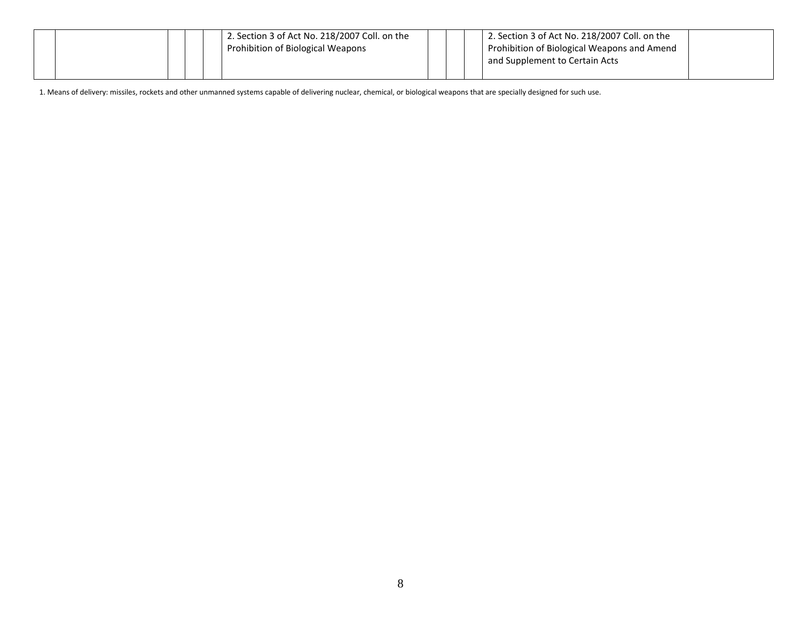|  |  | 2. Section 3 of Act No. 218/2007 Coll. on the<br>Prohibition of Biological Weapons |  | 2. Section 3 of Act No. 218/2007 Coll. on the<br>Prohibition of Biological Weapons and Amend<br>and Supplement to Certain Acts |  |
|--|--|------------------------------------------------------------------------------------|--|--------------------------------------------------------------------------------------------------------------------------------|--|
|  |  |                                                                                    |  |                                                                                                                                |  |

1. Means of delivery: missiles, rockets and other unmanned systems capable of delivering nuclear, chemical, or biological weapons that are specially designed for such use.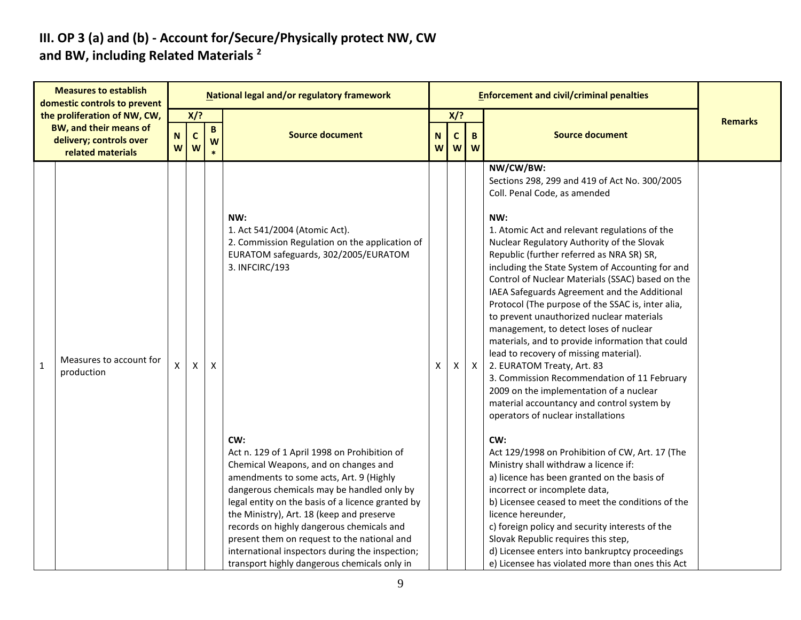#### **III. OP 3 (a) and (b) - Account for/Secure/Physically protect NW, CW and BW, including Related Materials <sup>2</sup>**

| <b>Measures to establish</b><br>domestic controls to prevent |                                                                               |                  |                   |                   | <b>National legal and/or regulatory framework</b>                                                                                                                                                                                                                                                                                        |        |                   |              | <b>Enforcement and civil/criminal penalties</b>                                                                                                                                                                                                                                                                                                                                                                                                                                                                                                                                                                                                                                                                                                                                                                                                                                                                                                                                                                                                |                |
|--------------------------------------------------------------|-------------------------------------------------------------------------------|------------------|-------------------|-------------------|------------------------------------------------------------------------------------------------------------------------------------------------------------------------------------------------------------------------------------------------------------------------------------------------------------------------------------------|--------|-------------------|--------------|------------------------------------------------------------------------------------------------------------------------------------------------------------------------------------------------------------------------------------------------------------------------------------------------------------------------------------------------------------------------------------------------------------------------------------------------------------------------------------------------------------------------------------------------------------------------------------------------------------------------------------------------------------------------------------------------------------------------------------------------------------------------------------------------------------------------------------------------------------------------------------------------------------------------------------------------------------------------------------------------------------------------------------------------|----------------|
|                                                              | the proliferation of NW, CW,                                                  |                  | $X$ /?            |                   |                                                                                                                                                                                                                                                                                                                                          | $X$ ?  |                   |              |                                                                                                                                                                                                                                                                                                                                                                                                                                                                                                                                                                                                                                                                                                                                                                                                                                                                                                                                                                                                                                                | <b>Remarks</b> |
|                                                              | <b>BW, and their means of</b><br>delivery; controls over<br>related materials | $\mathbf N$<br>W | $\mathbf{C}$<br>W | $\mathbf{B}$<br>W | <b>Source document</b>                                                                                                                                                                                                                                                                                                                   | N<br>W | $\mathsf{C}$<br>W | B<br>W       | <b>Source document</b>                                                                                                                                                                                                                                                                                                                                                                                                                                                                                                                                                                                                                                                                                                                                                                                                                                                                                                                                                                                                                         |                |
| $\mathbf 1$                                                  | Measures to account for<br>production                                         | X                | X                 | X                 | NW:<br>1. Act 541/2004 (Atomic Act).<br>2. Commission Regulation on the application of<br>EURATOM safeguards, 302/2005/EURATOM<br>3. INFCIRC/193<br>CW:<br>Act n. 129 of 1 April 1998 on Prohibition of<br>Chemical Weapons, and on changes and<br>amendments to some acts, Art. 9 (Highly<br>dangerous chemicals may be handled only by | X      | X                 | $\mathsf{X}$ | NW/CW/BW:<br>Sections 298, 299 and 419 of Act No. 300/2005<br>Coll. Penal Code, as amended<br>NW:<br>1. Atomic Act and relevant regulations of the<br>Nuclear Regulatory Authority of the Slovak<br>Republic (further referred as NRA SR) SR,<br>including the State System of Accounting for and<br>Control of Nuclear Materials (SSAC) based on the<br>IAEA Safeguards Agreement and the Additional<br>Protocol (The purpose of the SSAC is, inter alia,<br>to prevent unauthorized nuclear materials<br>management, to detect loses of nuclear<br>materials, and to provide information that could<br>lead to recovery of missing material).<br>2. EURATOM Treaty, Art. 83<br>3. Commission Recommendation of 11 February<br>2009 on the implementation of a nuclear<br>material accountancy and control system by<br>operators of nuclear installations<br>CW:<br>Act 129/1998 on Prohibition of CW, Art. 17 (The<br>Ministry shall withdraw a licence if:<br>a) licence has been granted on the basis of<br>incorrect or incomplete data, |                |
|                                                              |                                                                               |                  |                   |                   | legal entity on the basis of a licence granted by<br>the Ministry), Art. 18 (keep and preserve<br>records on highly dangerous chemicals and<br>present them on request to the national and<br>international inspectors during the inspection;<br>transport highly dangerous chemicals only in                                            |        |                   |              | b) Licensee ceased to meet the conditions of the<br>licence hereunder,<br>c) foreign policy and security interests of the<br>Slovak Republic requires this step,<br>d) Licensee enters into bankruptcy proceedings<br>e) Licensee has violated more than ones this Act                                                                                                                                                                                                                                                                                                                                                                                                                                                                                                                                                                                                                                                                                                                                                                         |                |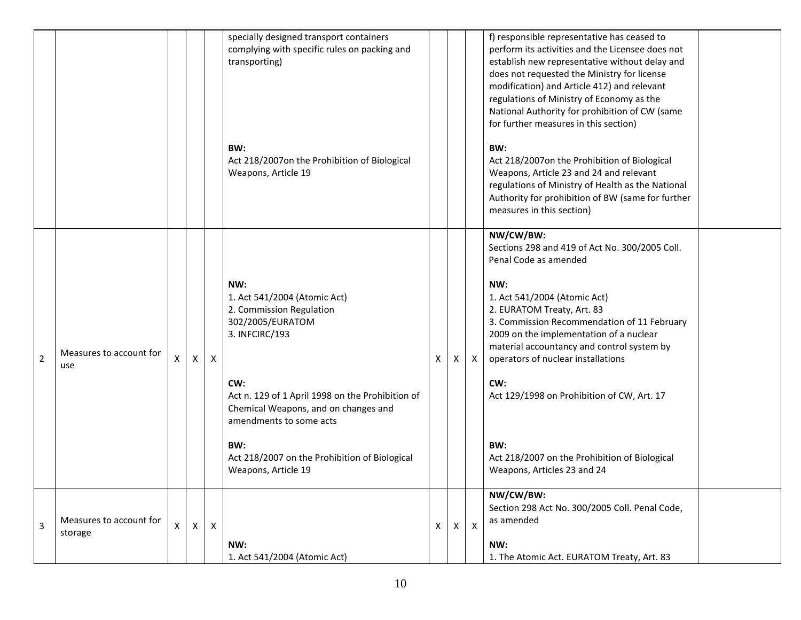|                |                                    |   |   |   | specially designed transport containers<br>complying with specific rules on packing and<br>transporting)                                                                                                                                                                                                           |   |   |              | f) responsible representative has ceased to<br>perform its activities and the Licensee does not<br>establish new representative without delay and<br>does not requested the Ministry for license<br>modification) and Article 412) and relevant<br>regulations of Ministry of Economy as the<br>National Authority for prohibition of CW (same<br>for further measures in this section)                                                                                             |  |
|----------------|------------------------------------|---|---|---|--------------------------------------------------------------------------------------------------------------------------------------------------------------------------------------------------------------------------------------------------------------------------------------------------------------------|---|---|--------------|-------------------------------------------------------------------------------------------------------------------------------------------------------------------------------------------------------------------------------------------------------------------------------------------------------------------------------------------------------------------------------------------------------------------------------------------------------------------------------------|--|
|                |                                    |   |   |   | BW:<br>Act 218/2007on the Prohibition of Biological<br>Weapons, Article 19                                                                                                                                                                                                                                         |   |   |              | BW:<br>Act 218/2007on the Prohibition of Biological<br>Weapons, Article 23 and 24 and relevant<br>regulations of Ministry of Health as the National<br>Authority for prohibition of BW (same for further<br>measures in this section)                                                                                                                                                                                                                                               |  |
| $\overline{2}$ | Measures to account for<br>use     | X | Χ | X | NW:<br>1. Act 541/2004 (Atomic Act)<br>2. Commission Regulation<br>302/2005/EURATOM<br>3. INFCIRC/193<br>CW:<br>Act n. 129 of 1 April 1998 on the Prohibition of<br>Chemical Weapons, and on changes and<br>amendments to some acts<br>BW:<br>Act 218/2007 on the Prohibition of Biological<br>Weapons, Article 19 | Χ | X | X            | NW/CW/BW:<br>Sections 298 and 419 of Act No. 300/2005 Coll.<br>Penal Code as amended<br>NW:<br>1. Act 541/2004 (Atomic Act)<br>2. EURATOM Treaty, Art. 83<br>3. Commission Recommendation of 11 February<br>2009 on the implementation of a nuclear<br>material accountancy and control system by<br>operators of nuclear installations<br>CW:<br>Act 129/1998 on Prohibition of CW, Art. 17<br>BW:<br>Act 218/2007 on the Prohibition of Biological<br>Weapons, Articles 23 and 24 |  |
| 3              | Measures to account for<br>storage | X | X | X | NW:<br>1. Act 541/2004 (Atomic Act)                                                                                                                                                                                                                                                                                | X | X | $\mathsf{X}$ | NW/CW/BW:<br>Section 298 Act No. 300/2005 Coll. Penal Code,<br>as amended<br>NW:<br>1. The Atomic Act. EURATOM Treaty, Art. 83                                                                                                                                                                                                                                                                                                                                                      |  |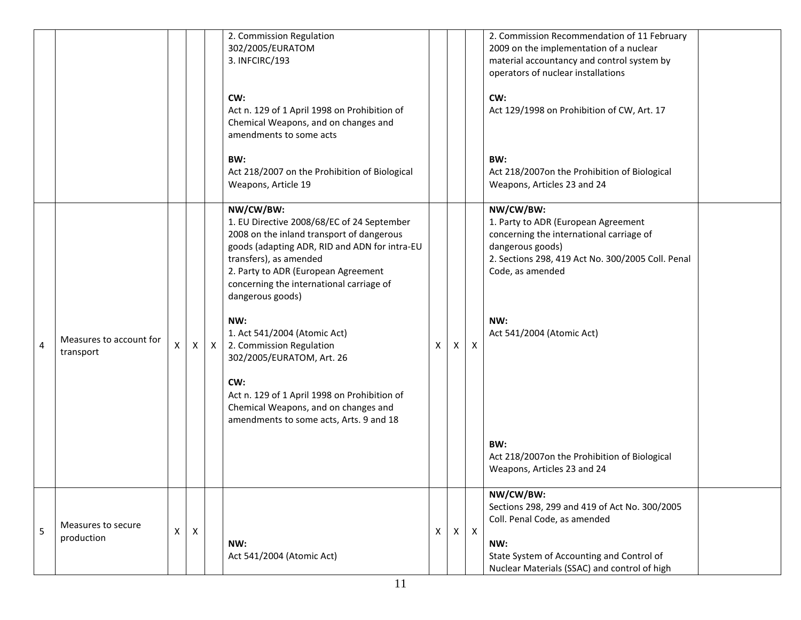|   |                         |   |              |              | 2. Commission Regulation                                                        |   |              |              | 2. Commission Recommendation of 11 February       |
|---|-------------------------|---|--------------|--------------|---------------------------------------------------------------------------------|---|--------------|--------------|---------------------------------------------------|
|   |                         |   |              |              | 302/2005/EURATOM                                                                |   |              |              | 2009 on the implementation of a nuclear           |
|   |                         |   |              |              | 3. INFCIRC/193                                                                  |   |              |              | material accountancy and control system by        |
|   |                         |   |              |              |                                                                                 |   |              |              | operators of nuclear installations                |
|   |                         |   |              |              | CW:                                                                             |   |              |              | CW:                                               |
|   |                         |   |              |              | Act n. 129 of 1 April 1998 on Prohibition of                                    |   |              |              | Act 129/1998 on Prohibition of CW, Art. 17        |
|   |                         |   |              |              | Chemical Weapons, and on changes and                                            |   |              |              |                                                   |
|   |                         |   |              |              | amendments to some acts                                                         |   |              |              |                                                   |
|   |                         |   |              |              | BW:                                                                             |   |              |              | BW:                                               |
|   |                         |   |              |              | Act 218/2007 on the Prohibition of Biological                                   |   |              |              | Act 218/2007on the Prohibition of Biological      |
|   |                         |   |              |              | Weapons, Article 19                                                             |   |              |              | Weapons, Articles 23 and 24                       |
|   |                         |   |              |              | NW/CW/BW:                                                                       |   |              |              | NW/CW/BW:                                         |
|   |                         |   |              |              | 1. EU Directive 2008/68/EC of 24 September                                      |   |              |              | 1. Party to ADR (European Agreement               |
|   |                         |   |              |              | 2008 on the inland transport of dangerous                                       |   |              |              | concerning the international carriage of          |
|   |                         |   |              |              | goods (adapting ADR, RID and ADN for intra-EU                                   |   |              |              | dangerous goods)                                  |
|   |                         |   |              |              | transfers), as amended                                                          |   |              |              | 2. Sections 298, 419 Act No. 300/2005 Coll. Penal |
|   |                         |   |              |              | 2. Party to ADR (European Agreement                                             |   |              |              | Code, as amended                                  |
|   |                         |   |              |              | concerning the international carriage of                                        |   |              |              |                                                   |
|   |                         |   |              |              | dangerous goods)                                                                |   |              |              |                                                   |
|   |                         |   |              |              | NW:                                                                             |   |              |              | NW:                                               |
|   |                         |   |              |              | 1. Act 541/2004 (Atomic Act)                                                    |   |              |              | Act 541/2004 (Atomic Act)                         |
| 4 | Measures to account for | Χ | $\mathsf{X}$ | $\mathsf{X}$ | 2. Commission Regulation                                                        | X | X            | $\mathsf{X}$ |                                                   |
|   | transport               |   |              |              | 302/2005/EURATOM, Art. 26                                                       |   |              |              |                                                   |
|   |                         |   |              |              |                                                                                 |   |              |              |                                                   |
|   |                         |   |              |              | CW:                                                                             |   |              |              |                                                   |
|   |                         |   |              |              | Act n. 129 of 1 April 1998 on Prohibition of                                    |   |              |              |                                                   |
|   |                         |   |              |              | Chemical Weapons, and on changes and<br>amendments to some acts, Arts. 9 and 18 |   |              |              |                                                   |
|   |                         |   |              |              |                                                                                 |   |              |              |                                                   |
|   |                         |   |              |              |                                                                                 |   |              |              | BW:                                               |
|   |                         |   |              |              |                                                                                 |   |              |              | Act 218/2007on the Prohibition of Biological      |
|   |                         |   |              |              |                                                                                 |   |              |              | Weapons, Articles 23 and 24                       |
|   |                         |   |              |              |                                                                                 |   |              |              | NW/CW/BW:                                         |
|   |                         |   |              |              |                                                                                 |   |              |              | Sections 298, 299 and 419 of Act No. 300/2005     |
|   | Measures to secure      |   |              |              |                                                                                 |   |              |              | Coll. Penal Code, as amended                      |
| 5 | production              | Х | X            |              |                                                                                 | X | $\mathsf{X}$ | $\mathsf{X}$ |                                                   |
|   |                         |   |              |              | NW:                                                                             |   |              |              | NW:                                               |
|   |                         |   |              |              | Act 541/2004 (Atomic Act)                                                       |   |              |              | State System of Accounting and Control of         |
|   |                         |   |              |              |                                                                                 |   |              |              | Nuclear Materials (SSAC) and control of high      |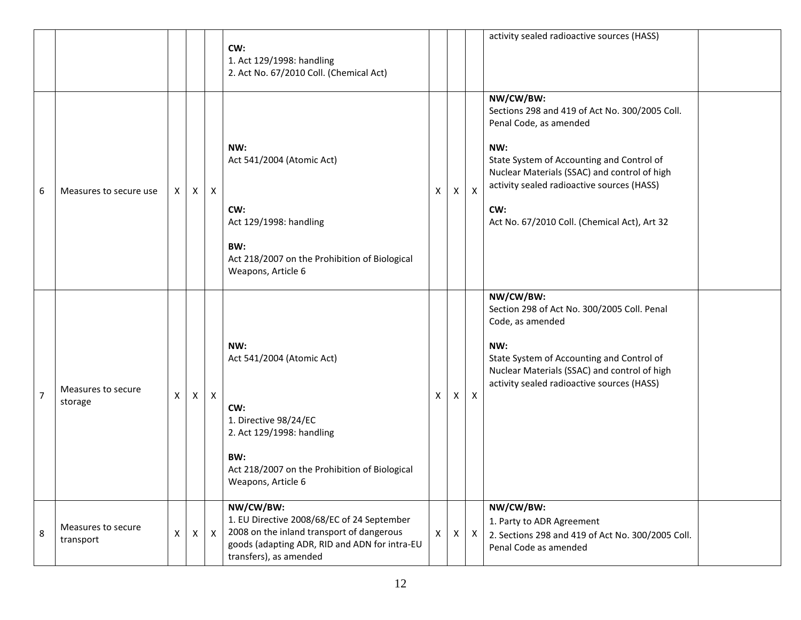|                |                                 |   |   |              | CW:<br>1. Act 129/1998: handling<br>2. Act No. 67/2010 Coll. (Chemical Act)                                                                                                     |   |              |              | activity sealed radioactive sources (HASS)                                                                                                                                                                                                                                                     |  |
|----------------|---------------------------------|---|---|--------------|---------------------------------------------------------------------------------------------------------------------------------------------------------------------------------|---|--------------|--------------|------------------------------------------------------------------------------------------------------------------------------------------------------------------------------------------------------------------------------------------------------------------------------------------------|--|
| 6              | Measures to secure use          | X | X | $\mathsf{X}$ | NW:<br>Act 541/2004 (Atomic Act)<br>CW:<br>Act 129/1998: handling<br>BW:<br>Act 218/2007 on the Prohibition of Biological<br>Weapons, Article 6                                 | X | X            | $\mathsf{X}$ | NW/CW/BW:<br>Sections 298 and 419 of Act No. 300/2005 Coll.<br>Penal Code, as amended<br>NW:<br>State System of Accounting and Control of<br>Nuclear Materials (SSAC) and control of high<br>activity sealed radioactive sources (HASS)<br>CW:<br>Act No. 67/2010 Coll. (Chemical Act), Art 32 |  |
| $\overline{7}$ | Measures to secure<br>storage   | X | X | $\mathsf{X}$ | NW:<br>Act 541/2004 (Atomic Act)<br>CW:<br>1. Directive 98/24/EC<br>2. Act 129/1998: handling<br>BW:<br>Act 218/2007 on the Prohibition of Biological<br>Weapons, Article 6     | Χ | X            | $\mathsf{X}$ | NW/CW/BW:<br>Section 298 of Act No. 300/2005 Coll. Penal<br>Code, as amended<br>NW:<br>State System of Accounting and Control of<br>Nuclear Materials (SSAC) and control of high<br>activity sealed radioactive sources (HASS)                                                                 |  |
| 8              | Measures to secure<br>transport | X | X | $\mathsf{X}$ | NW/CW/BW:<br>1. EU Directive 2008/68/EC of 24 September<br>2008 on the inland transport of dangerous<br>goods (adapting ADR, RID and ADN for intra-EU<br>transfers), as amended | X | $\mathsf{X}$ | $\mathsf{X}$ | NW/CW/BW:<br>1. Party to ADR Agreement<br>2. Sections 298 and 419 of Act No. 300/2005 Coll.<br>Penal Code as amended                                                                                                                                                                           |  |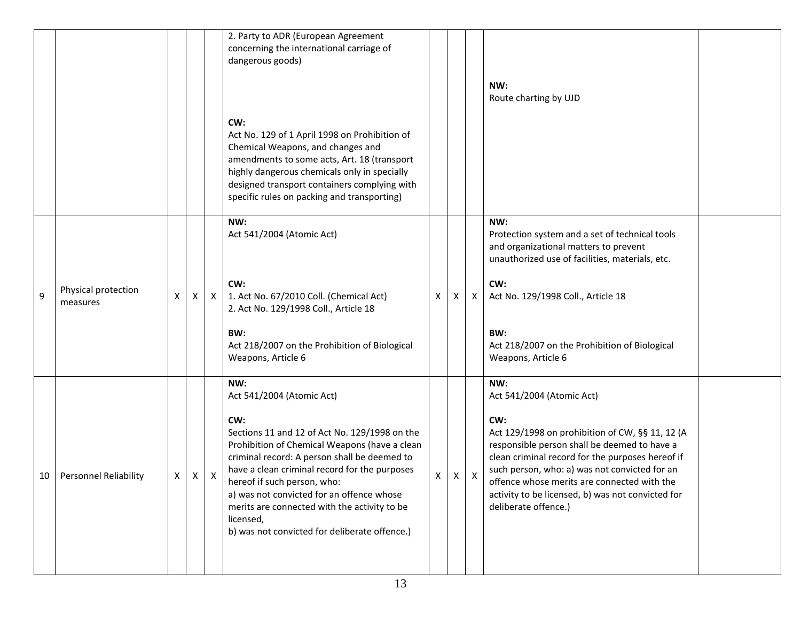|    |                                 |   |   |   | 2. Party to ADR (European Agreement<br>concerning the international carriage of<br>dangerous goods)                                                                                                                                                                                                                                                                                              |                    |   |   |                                                                                                                                                                                                                                                                                                                                         |  |
|----|---------------------------------|---|---|---|--------------------------------------------------------------------------------------------------------------------------------------------------------------------------------------------------------------------------------------------------------------------------------------------------------------------------------------------------------------------------------------------------|--------------------|---|---|-----------------------------------------------------------------------------------------------------------------------------------------------------------------------------------------------------------------------------------------------------------------------------------------------------------------------------------------|--|
|    |                                 |   |   |   |                                                                                                                                                                                                                                                                                                                                                                                                  |                    |   |   | NW:<br>Route charting by UJD                                                                                                                                                                                                                                                                                                            |  |
|    |                                 |   |   |   | CW:<br>Act No. 129 of 1 April 1998 on Prohibition of<br>Chemical Weapons, and changes and<br>amendments to some acts, Art. 18 (transport<br>highly dangerous chemicals only in specially<br>designed transport containers complying with<br>specific rules on packing and transporting)                                                                                                          |                    |   |   |                                                                                                                                                                                                                                                                                                                                         |  |
|    |                                 |   |   |   | NW:<br>Act 541/2004 (Atomic Act)                                                                                                                                                                                                                                                                                                                                                                 |                    |   |   | NW:<br>Protection system and a set of technical tools<br>and organizational matters to prevent<br>unauthorized use of facilities, materials, etc.                                                                                                                                                                                       |  |
| 9  | Physical protection<br>measures | X | X | X | CW:<br>1. Act No. 67/2010 Coll. (Chemical Act)<br>2. Act No. 129/1998 Coll., Article 18                                                                                                                                                                                                                                                                                                          | X                  | X | X | CW:<br>Act No. 129/1998 Coll., Article 18                                                                                                                                                                                                                                                                                               |  |
|    |                                 |   |   |   | BW:<br>Act 218/2007 on the Prohibition of Biological<br>Weapons, Article 6                                                                                                                                                                                                                                                                                                                       |                    |   |   | BW:<br>Act 218/2007 on the Prohibition of Biological<br>Weapons, Article 6                                                                                                                                                                                                                                                              |  |
|    |                                 |   |   |   | NW:<br>Act 541/2004 (Atomic Act)                                                                                                                                                                                                                                                                                                                                                                 |                    |   |   | NW:<br>Act 541/2004 (Atomic Act)                                                                                                                                                                                                                                                                                                        |  |
| 10 | <b>Personnel Reliability</b>    | X | X | х | CW:<br>Sections 11 and 12 of Act No. 129/1998 on the<br>Prohibition of Chemical Weapons (have a clean<br>criminal record: A person shall be deemed to<br>have a clean criminal record for the purposes<br>hereof if such person, who:<br>a) was not convicted for an offence whose<br>merits are connected with the activity to be<br>licensed,<br>b) was not convicted for deliberate offence.) | $\pmb{\mathsf{X}}$ | X | X | CW:<br>Act 129/1998 on prohibition of CW, §§ 11, 12 (A<br>responsible person shall be deemed to have a<br>clean criminal record for the purposes hereof if<br>such person, who: a) was not convicted for an<br>offence whose merits are connected with the<br>activity to be licensed, b) was not convicted for<br>deliberate offence.) |  |
|    |                                 |   |   |   |                                                                                                                                                                                                                                                                                                                                                                                                  |                    |   |   |                                                                                                                                                                                                                                                                                                                                         |  |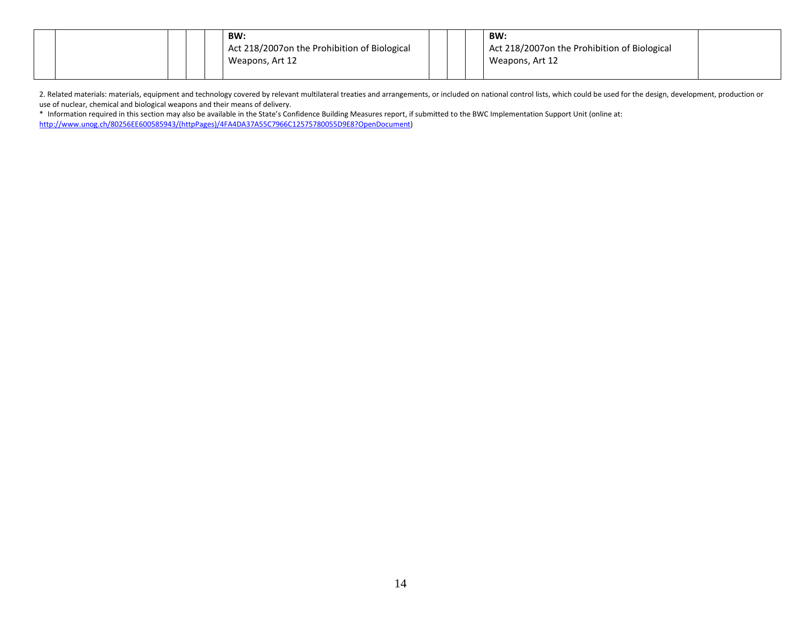|  |  |  | BW:                                          |  | BW:                                          |  |
|--|--|--|----------------------------------------------|--|----------------------------------------------|--|
|  |  |  | Act 218/2007on the Prohibition of Biological |  | Act 218/2007on the Prohibition of Biological |  |
|  |  |  | Weapons, Art 12                              |  | Weapons, Art 12                              |  |
|  |  |  |                                              |  |                                              |  |

2. Related materials: materials, equipment and technology covered by relevant multilateral treaties and arrangements, or included on national control lists, which could be used for the design, development, production or use of nuclear, chemical and biological weapons and their means of delivery.

\* Information required in this section may also be available in the State's Confidence Building Measures report, if submitted to the BWC Implementation Support Unit (online at: [http://www.unog.ch/80256EE600585943/\(httpPages\)/4FA4DA37A55C7966C12575780055D9E8?OpenDocument\)](http://www.unog.ch/80256EE600585943/(httpPages)/4FA4DA37A55C7966C12575780055D9E8?OpenDocument)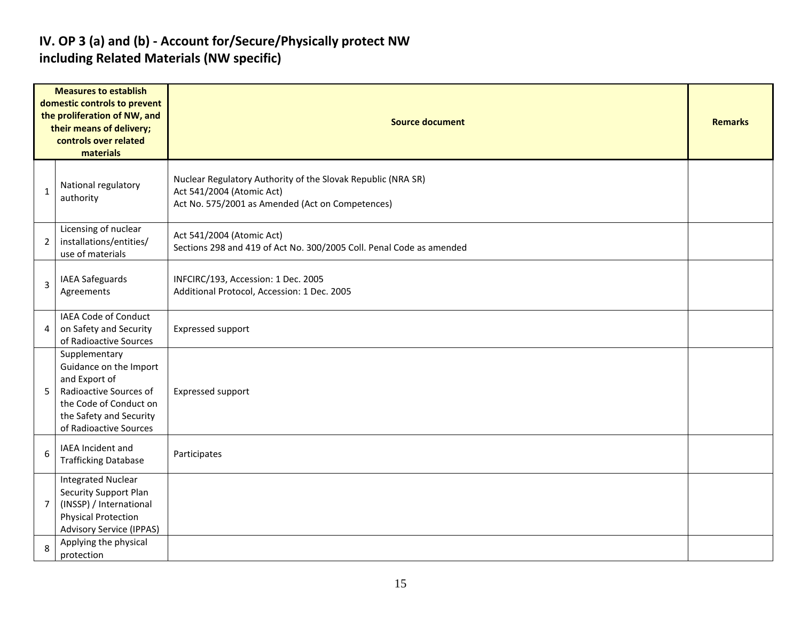#### **IV. OP 3 (a) and (b) - Account for/Secure/Physically protect NW including Related Materials (NW specific)**

|                | <b>Measures to establish</b><br>domestic controls to prevent<br>the proliferation of NW, and<br>their means of delivery;<br>controls over related<br>materials    | <b>Source document</b>                                                                                                                        |  |  |  |  |  |  |  |  |
|----------------|-------------------------------------------------------------------------------------------------------------------------------------------------------------------|-----------------------------------------------------------------------------------------------------------------------------------------------|--|--|--|--|--|--|--|--|
| 1              | National regulatory<br>authority                                                                                                                                  | Nuclear Regulatory Authority of the Slovak Republic (NRA SR)<br>Act 541/2004 (Atomic Act)<br>Act No. 575/2001 as Amended (Act on Competences) |  |  |  |  |  |  |  |  |
| $\overline{2}$ | Licensing of nuclear<br>installations/entities/<br>use of materials                                                                                               | Act 541/2004 (Atomic Act)<br>Sections 298 and 419 of Act No. 300/2005 Coll. Penal Code as amended                                             |  |  |  |  |  |  |  |  |
| 3              | IAEA Safeguards<br>Agreements                                                                                                                                     | INFCIRC/193, Accession: 1 Dec. 2005<br>Additional Protocol, Accession: 1 Dec. 2005                                                            |  |  |  |  |  |  |  |  |
| 4              | IAEA Code of Conduct<br>on Safety and Security<br>of Radioactive Sources                                                                                          | Expressed support                                                                                                                             |  |  |  |  |  |  |  |  |
| 5              | Supplementary<br>Guidance on the Import<br>and Export of<br>Radioactive Sources of<br>the Code of Conduct on<br>the Safety and Security<br>of Radioactive Sources | <b>Expressed support</b>                                                                                                                      |  |  |  |  |  |  |  |  |
| 6              | IAEA Incident and<br><b>Trafficking Database</b>                                                                                                                  | Participates                                                                                                                                  |  |  |  |  |  |  |  |  |
| $\overline{7}$ | <b>Integrated Nuclear</b><br>Security Support Plan<br>(INSSP) / International<br><b>Physical Protection</b><br><b>Advisory Service (IPPAS)</b>                    |                                                                                                                                               |  |  |  |  |  |  |  |  |
| 8              | Applying the physical<br>protection                                                                                                                               |                                                                                                                                               |  |  |  |  |  |  |  |  |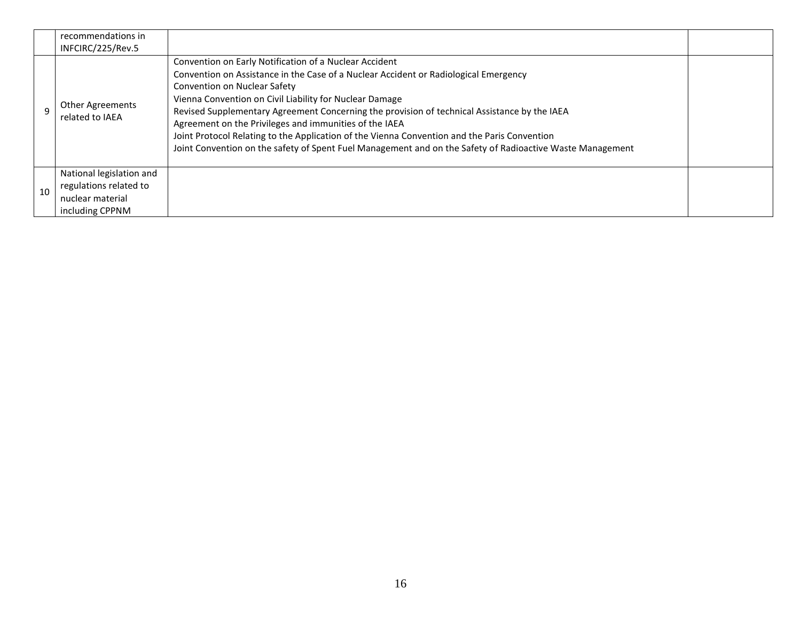|    | recommendations in<br>INFCIRC/225/Rev.5                                                   |                                                                                                                                                                                                                                                                                                                                                                                                                                                                                                                                                                                                                  |  |
|----|-------------------------------------------------------------------------------------------|------------------------------------------------------------------------------------------------------------------------------------------------------------------------------------------------------------------------------------------------------------------------------------------------------------------------------------------------------------------------------------------------------------------------------------------------------------------------------------------------------------------------------------------------------------------------------------------------------------------|--|
|    | <b>Other Agreements</b><br>related to IAEA                                                | Convention on Early Notification of a Nuclear Accident<br>Convention on Assistance in the Case of a Nuclear Accident or Radiological Emergency<br>Convention on Nuclear Safety<br>Vienna Convention on Civil Liability for Nuclear Damage<br>Revised Supplementary Agreement Concerning the provision of technical Assistance by the IAEA<br>Agreement on the Privileges and immunities of the IAEA<br>Joint Protocol Relating to the Application of the Vienna Convention and the Paris Convention<br>Joint Convention on the safety of Spent Fuel Management and on the Safety of Radioactive Waste Management |  |
| 10 | National legislation and<br>regulations related to<br>nuclear material<br>including CPPNM |                                                                                                                                                                                                                                                                                                                                                                                                                                                                                                                                                                                                                  |  |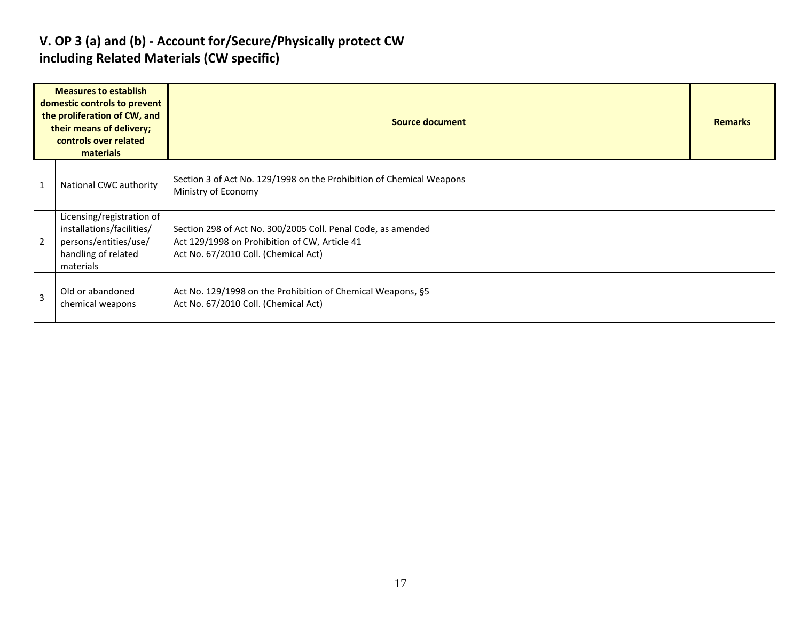#### **V. OP 3 (a) and (b) - Account for/Secure/Physically protect CW including Related Materials (CW specific)**

|                | <b>Measures to establish</b><br>domestic controls to prevent<br>the proliferation of CW, and<br>their means of delivery;<br>controls over related<br>materials | Source document                                                                                                                                       |  |  |  |  |  |  |
|----------------|----------------------------------------------------------------------------------------------------------------------------------------------------------------|-------------------------------------------------------------------------------------------------------------------------------------------------------|--|--|--|--|--|--|
|                | National CWC authority                                                                                                                                         | Section 3 of Act No. 129/1998 on the Prohibition of Chemical Weapons<br>Ministry of Economy                                                           |  |  |  |  |  |  |
| $\overline{2}$ | Licensing/registration of<br>installations/facilities/<br>persons/entities/use/<br>handling of related<br>materials                                            | Section 298 of Act No. 300/2005 Coll. Penal Code, as amended<br>Act 129/1998 on Prohibition of CW, Article 41<br>Act No. 67/2010 Coll. (Chemical Act) |  |  |  |  |  |  |
| 3              | Old or abandoned<br>chemical weapons                                                                                                                           | Act No. 129/1998 on the Prohibition of Chemical Weapons, §5<br>Act No. 67/2010 Coll. (Chemical Act)                                                   |  |  |  |  |  |  |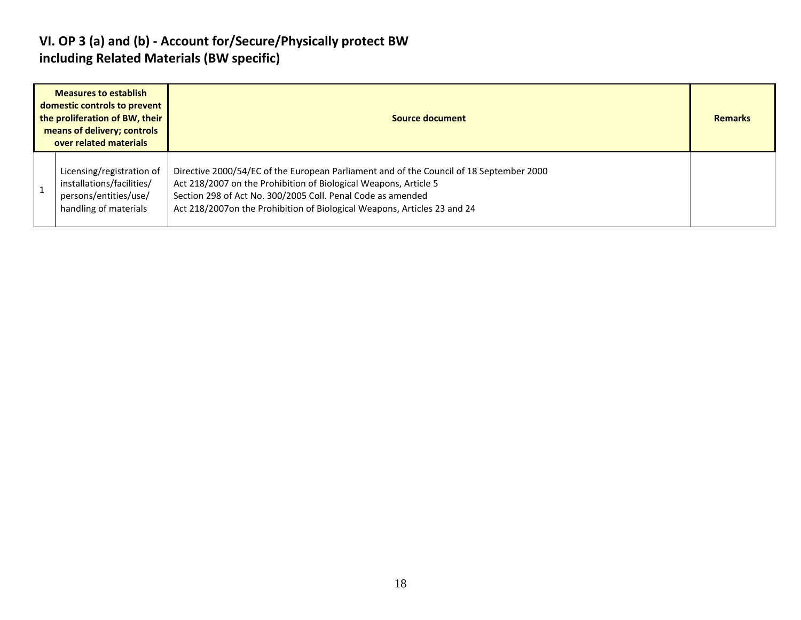#### **VI. OP 3 (a) and (b) - Account for/Secure/Physically protect BW including Related Materials (BW specific)**

| <b>Measures to establish</b><br>domestic controls to prevent<br>the proliferation of BW, their<br>means of delivery; controls<br>over related materials |                                                                                                          | Source document                                                                                                                                                                                                                                                                                        |  |  |  |  |
|---------------------------------------------------------------------------------------------------------------------------------------------------------|----------------------------------------------------------------------------------------------------------|--------------------------------------------------------------------------------------------------------------------------------------------------------------------------------------------------------------------------------------------------------------------------------------------------------|--|--|--|--|
|                                                                                                                                                         | Licensing/registration of<br>installations/facilities/<br>persons/entities/use/<br>handling of materials | Directive 2000/54/EC of the European Parliament and of the Council of 18 September 2000<br>Act 218/2007 on the Prohibition of Biological Weapons, Article 5<br>Section 298 of Act No. 300/2005 Coll. Penal Code as amended<br>Act 218/2007on the Prohibition of Biological Weapons, Articles 23 and 24 |  |  |  |  |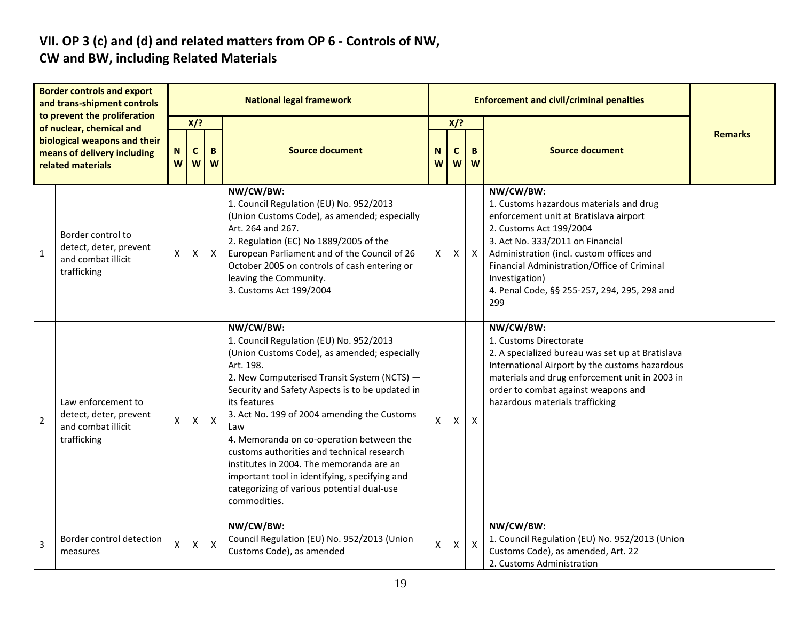# **VII. OP 3 (c) and (d) and related matters from OP 6 - Controls of NW,**

### **CW and BW, including Related Materials**

| <b>Border controls and export</b><br>and trans-shipment controls<br>to prevent the proliferation<br>of nuclear, chemical and |                                                                                   |              |              |                           | <b>National legal framework</b>                                                                                                                                                                                                                                                                                                                                                                                                                                                                                                                |                    |              | <b>Enforcement and civil/criminal penalties</b> |                                                                                                                                                                                                                                                                                                                                   |                |
|------------------------------------------------------------------------------------------------------------------------------|-----------------------------------------------------------------------------------|--------------|--------------|---------------------------|------------------------------------------------------------------------------------------------------------------------------------------------------------------------------------------------------------------------------------------------------------------------------------------------------------------------------------------------------------------------------------------------------------------------------------------------------------------------------------------------------------------------------------------------|--------------------|--------------|-------------------------------------------------|-----------------------------------------------------------------------------------------------------------------------------------------------------------------------------------------------------------------------------------------------------------------------------------------------------------------------------------|----------------|
|                                                                                                                              |                                                                                   |              | $X$ ?        |                           |                                                                                                                                                                                                                                                                                                                                                                                                                                                                                                                                                |                    | $X$ ?        |                                                 |                                                                                                                                                                                                                                                                                                                                   | <b>Remarks</b> |
|                                                                                                                              | biological weapons and their<br>means of delivery including<br>related materials  |              | C<br>W       | B<br>W                    | <b>Source document</b><br><b>Source document</b><br>N<br>C<br>B<br>W<br>W<br>W                                                                                                                                                                                                                                                                                                                                                                                                                                                                 |                    |              |                                                 |                                                                                                                                                                                                                                                                                                                                   |                |
| $\mathbf{1}$                                                                                                                 | Border control to<br>detect, deter, prevent<br>and combat illicit<br>trafficking  | X            | X            | $\pmb{\mathsf{X}}$        | NW/CW/BW:<br>1. Council Regulation (EU) No. 952/2013<br>(Union Customs Code), as amended; especially<br>Art. 264 and 267.<br>2. Regulation (EC) No 1889/2005 of the<br>European Parliament and of the Council of 26<br>October 2005 on controls of cash entering or<br>leaving the Community.<br>3. Customs Act 199/2004                                                                                                                                                                                                                       | Χ                  | X            | $\mathsf{X}$                                    | NW/CW/BW:<br>1. Customs hazardous materials and drug<br>enforcement unit at Bratislava airport<br>2. Customs Act 199/2004<br>3. Act No. 333/2011 on Financial<br>Administration (incl. custom offices and<br>Financial Administration/Office of Criminal<br>Investigation)<br>4. Penal Code, §§ 255-257, 294, 295, 298 and<br>299 |                |
| $\overline{2}$                                                                                                               | Law enforcement to<br>detect, deter, prevent<br>and combat illicit<br>trafficking | $\mathsf{x}$ | $\mathsf{X}$ | $\boldsymbol{\mathsf{X}}$ | NW/CW/BW:<br>1. Council Regulation (EU) No. 952/2013<br>(Union Customs Code), as amended; especially<br>Art. 198.<br>2. New Computerised Transit System (NCTS) -<br>Security and Safety Aspects is to be updated in<br>its features<br>3. Act No. 199 of 2004 amending the Customs<br>Law<br>4. Memoranda on co-operation between the<br>customs authorities and technical research<br>institutes in 2004. The memoranda are an<br>important tool in identifying, specifying and<br>categorizing of various potential dual-use<br>commodities. | X                  | $\mathsf{X}$ | $\boldsymbol{\mathsf{X}}$                       | NW/CW/BW:<br>1. Customs Directorate<br>2. A specialized bureau was set up at Bratislava<br>International Airport by the customs hazardous<br>materials and drug enforcement unit in 2003 in<br>order to combat against weapons and<br>hazardous materials trafficking                                                             |                |
| 3                                                                                                                            | Border control detection<br>measures                                              | X            | X            | $\pmb{\times}$            | NW/CW/BW:<br>Council Regulation (EU) No. 952/2013 (Union<br>Customs Code), as amended                                                                                                                                                                                                                                                                                                                                                                                                                                                          | $\pmb{\mathsf{X}}$ | X            | $\mathsf{x}$                                    | NW/CW/BW:<br>1. Council Regulation (EU) No. 952/2013 (Union<br>Customs Code), as amended, Art. 22<br>2. Customs Administration                                                                                                                                                                                                    |                |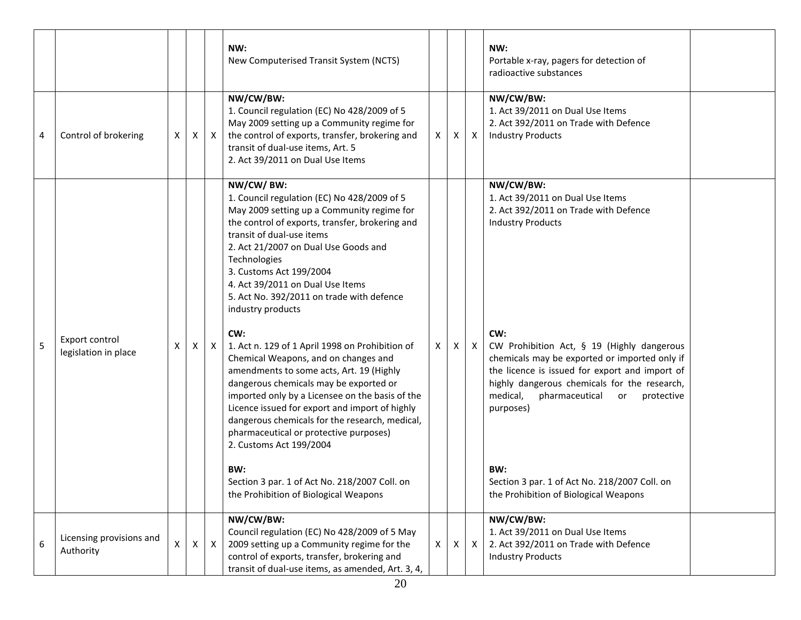|   |                                        |              |   |              | NW:<br>New Computerised Transit System (NCTS)                                                                                                                                                                                                                                                                                                                                                                                                                                                                                                                                                                                                                                                                                                                                                                                                                                                        |    |   |              | NW:<br>Portable x-ray, pagers for detection of<br>radioactive substances                                                                                                                                                                                                                                                                                                                                                                                                                   |  |
|---|----------------------------------------|--------------|---|--------------|------------------------------------------------------------------------------------------------------------------------------------------------------------------------------------------------------------------------------------------------------------------------------------------------------------------------------------------------------------------------------------------------------------------------------------------------------------------------------------------------------------------------------------------------------------------------------------------------------------------------------------------------------------------------------------------------------------------------------------------------------------------------------------------------------------------------------------------------------------------------------------------------------|----|---|--------------|--------------------------------------------------------------------------------------------------------------------------------------------------------------------------------------------------------------------------------------------------------------------------------------------------------------------------------------------------------------------------------------------------------------------------------------------------------------------------------------------|--|
| 4 | Control of brokering                   | X            | X | $\mathsf{X}$ | NW/CW/BW:<br>1. Council regulation (EC) No 428/2009 of 5<br>May 2009 setting up a Community regime for<br>the control of exports, transfer, brokering and<br>transit of dual-use items, Art. 5<br>2. Act 39/2011 on Dual Use Items                                                                                                                                                                                                                                                                                                                                                                                                                                                                                                                                                                                                                                                                   | X. | X | $\mathsf{X}$ | NW/CW/BW:<br>1. Act 39/2011 on Dual Use Items<br>2. Act 392/2011 on Trade with Defence<br><b>Industry Products</b>                                                                                                                                                                                                                                                                                                                                                                         |  |
| 5 | Export control<br>legislation in place | Х            | X | X            | NW/CW/BW:<br>1. Council regulation (EC) No 428/2009 of 5<br>May 2009 setting up a Community regime for<br>the control of exports, transfer, brokering and<br>transit of dual-use items<br>2. Act 21/2007 on Dual Use Goods and<br>Technologies<br>3. Customs Act 199/2004<br>4. Act 39/2011 on Dual Use Items<br>5. Act No. 392/2011 on trade with defence<br>industry products<br>CW:<br>1. Act n. 129 of 1 April 1998 on Prohibition of<br>Chemical Weapons, and on changes and<br>amendments to some acts, Art. 19 (Highly<br>dangerous chemicals may be exported or<br>imported only by a Licensee on the basis of the<br>Licence issued for export and import of highly<br>dangerous chemicals for the research, medical,<br>pharmaceutical or protective purposes)<br>2. Customs Act 199/2004<br>BW:<br>Section 3 par. 1 of Act No. 218/2007 Coll. on<br>the Prohibition of Biological Weapons | X  | X | $\mathsf{X}$ | NW/CW/BW:<br>1. Act 39/2011 on Dual Use Items<br>2. Act 392/2011 on Trade with Defence<br><b>Industry Products</b><br>CW:<br>CW Prohibition Act, § 19 (Highly dangerous<br>chemicals may be exported or imported only if<br>the licence is issued for export and import of<br>highly dangerous chemicals for the research,<br>medical,<br>pharmaceutical<br>protective<br>or<br>purposes)<br>BW:<br>Section 3 par. 1 of Act No. 218/2007 Coll. on<br>the Prohibition of Biological Weapons |  |
| 6 | Licensing provisions and<br>Authority  | $\mathsf{X}$ | X | $\mathsf{X}$ | NW/CW/BW:<br>Council regulation (EC) No 428/2009 of 5 May<br>2009 setting up a Community regime for the<br>control of exports, transfer, brokering and<br>transit of dual-use items, as amended, Art. 3, 4,                                                                                                                                                                                                                                                                                                                                                                                                                                                                                                                                                                                                                                                                                          | X  | X | $\mathsf{X}$ | NW/CW/BW:<br>1. Act 39/2011 on Dual Use Items<br>2. Act 392/2011 on Trade with Defence<br><b>Industry Products</b>                                                                                                                                                                                                                                                                                                                                                                         |  |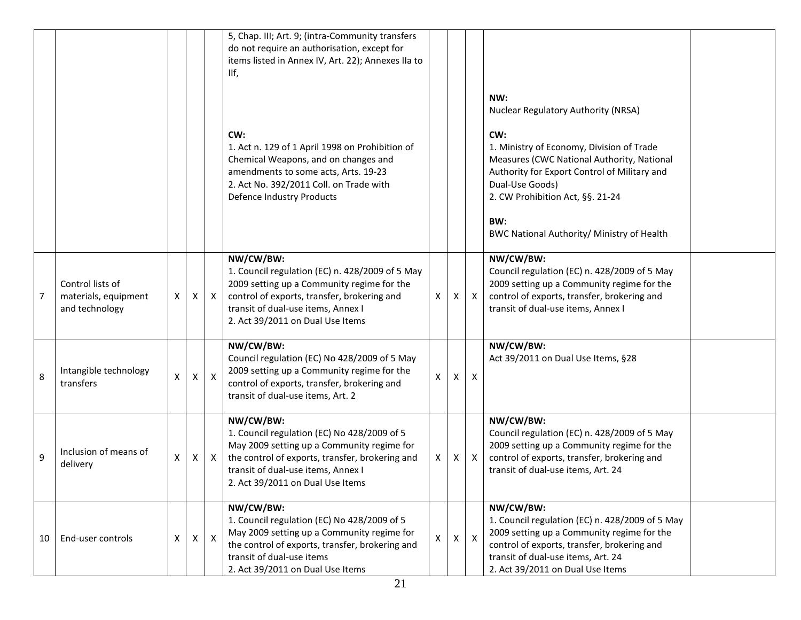|    |                                                            |   |   |              | 5, Chap. III; Art. 9; (intra-Community transfers<br>do not require an authorisation, except for<br>items listed in Annex IV, Art. 22); Annexes IIa to<br>IIf,                                                                       |              |    |                           |                                                                                                                                                                                                                                                                                                          |  |
|----|------------------------------------------------------------|---|---|--------------|-------------------------------------------------------------------------------------------------------------------------------------------------------------------------------------------------------------------------------------|--------------|----|---------------------------|----------------------------------------------------------------------------------------------------------------------------------------------------------------------------------------------------------------------------------------------------------------------------------------------------------|--|
|    |                                                            |   |   |              | CW:<br>1. Act n. 129 of 1 April 1998 on Prohibition of<br>Chemical Weapons, and on changes and<br>amendments to some acts, Arts. 19-23<br>2. Act No. 392/2011 Coll. on Trade with<br>Defence Industry Products                      |              |    |                           | NW:<br>Nuclear Regulatory Authority (NRSA)<br>CW:<br>1. Ministry of Economy, Division of Trade<br>Measures (CWC National Authority, National<br>Authority for Export Control of Military and<br>Dual-Use Goods)<br>2. CW Prohibition Act, §§. 21-24<br>BW:<br>BWC National Authority/ Ministry of Health |  |
| 7  | Control lists of<br>materials, equipment<br>and technology | X | X | $\mathsf{X}$ | NW/CW/BW:<br>1. Council regulation (EC) n. 428/2009 of 5 May<br>2009 setting up a Community regime for the<br>control of exports, transfer, brokering and<br>transit of dual-use items, Annex I<br>2. Act 39/2011 on Dual Use Items | X            | X  | $\mathsf{X}$              | NW/CW/BW:<br>Council regulation (EC) n. 428/2009 of 5 May<br>2009 setting up a Community regime for the<br>control of exports, transfer, brokering and<br>transit of dual-use items, Annex I                                                                                                             |  |
| 8  | Intangible technology<br>transfers                         | Χ | X | X            | NW/CW/BW:<br>Council regulation (EC) No 428/2009 of 5 May<br>2009 setting up a Community regime for the<br>control of exports, transfer, brokering and<br>transit of dual-use items, Art. 2                                         | X            | X. | $\boldsymbol{\mathsf{X}}$ | NW/CW/BW:<br>Act 39/2011 on Dual Use Items, §28                                                                                                                                                                                                                                                          |  |
| 9  | Inclusion of means of<br>delivery                          | X | X | $\mathsf{X}$ | NW/CW/BW:<br>1. Council regulation (EC) No 428/2009 of 5<br>May 2009 setting up a Community regime for<br>the control of exports, transfer, brokering and<br>transit of dual-use items, Annex I<br>2. Act 39/2011 on Dual Use Items | X.           | X  | $\mathsf{X}$              | NW/CW/BW:<br>Council regulation (EC) n. 428/2009 of 5 May<br>2009 setting up a Community regime for the<br>control of exports, transfer, brokering and<br>transit of dual-use items, Art. 24                                                                                                             |  |
| 10 | End-user controls                                          | X | X | $\mathsf{X}$ | NW/CW/BW:<br>1. Council regulation (EC) No 428/2009 of 5<br>May 2009 setting up a Community regime for<br>the control of exports, transfer, brokering and<br>transit of dual-use items<br>2. Act 39/2011 on Dual Use Items          | $\mathsf{X}$ | X. | $\mathsf{X}$              | NW/CW/BW:<br>1. Council regulation (EC) n. 428/2009 of 5 May<br>2009 setting up a Community regime for the<br>control of exports, transfer, brokering and<br>transit of dual-use items, Art. 24<br>2. Act 39/2011 on Dual Use Items                                                                      |  |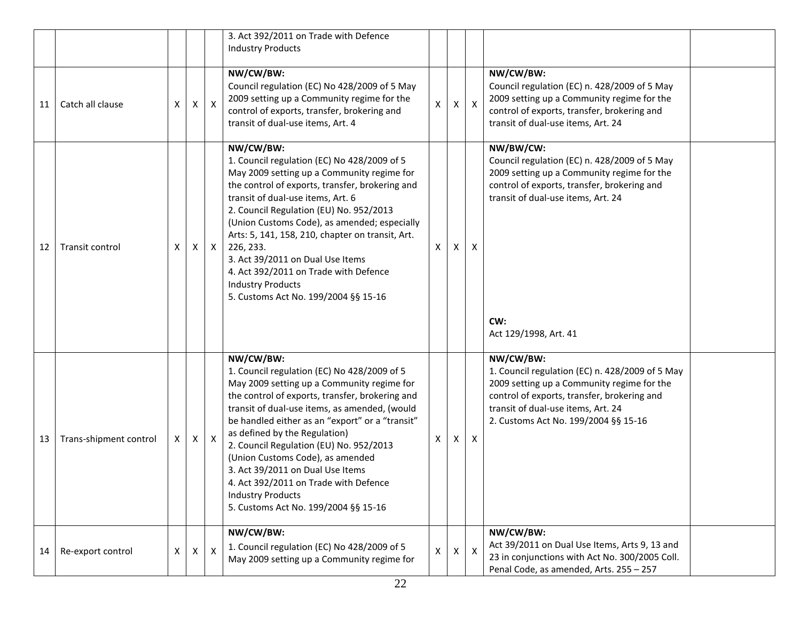|    |                        |              |              |                  | 3. Act 392/2011 on Trade with Defence<br><b>Industry Products</b>                                                                                                                                                                                                                                                                                                                                                                                                                                                              |              |   |                           |                                                                                                                                                                                                                                         |  |
|----|------------------------|--------------|--------------|------------------|--------------------------------------------------------------------------------------------------------------------------------------------------------------------------------------------------------------------------------------------------------------------------------------------------------------------------------------------------------------------------------------------------------------------------------------------------------------------------------------------------------------------------------|--------------|---|---------------------------|-----------------------------------------------------------------------------------------------------------------------------------------------------------------------------------------------------------------------------------------|--|
| 11 | Catch all clause       | X            | X            | $\boldsymbol{X}$ | NW/CW/BW:<br>Council regulation (EC) No 428/2009 of 5 May<br>2009 setting up a Community regime for the<br>control of exports, transfer, brokering and<br>transit of dual-use items, Art. 4                                                                                                                                                                                                                                                                                                                                    | Χ            | X | $\boldsymbol{\mathsf{X}}$ | NW/CW/BW:<br>Council regulation (EC) n. 428/2009 of 5 May<br>2009 setting up a Community regime for the<br>control of exports, transfer, brokering and<br>transit of dual-use items, Art. 24                                            |  |
| 12 | Transit control        | X            | X            | $\mathsf{X}$     | NW/CW/BW:<br>1. Council regulation (EC) No 428/2009 of 5<br>May 2009 setting up a Community regime for<br>the control of exports, transfer, brokering and<br>transit of dual-use items, Art. 6<br>2. Council Regulation (EU) No. 952/2013<br>(Union Customs Code), as amended; especially<br>Arts: 5, 141, 158, 210, chapter on transit, Art.<br>226, 233.<br>3. Act 39/2011 on Dual Use Items<br>4. Act 392/2011 on Trade with Defence<br><b>Industry Products</b><br>5. Customs Act No. 199/2004 §§ 15-16                    | X            | X | X                         | NW/BW/CW:<br>Council regulation (EC) n. 428/2009 of 5 May<br>2009 setting up a Community regime for the<br>control of exports, transfer, brokering and<br>transit of dual-use items, Art. 24<br>CW:<br>Act 129/1998, Art. 41            |  |
| 13 | Trans-shipment control | X.           | $\mathsf{X}$ | $\mathsf{X}$     | NW/CW/BW:<br>1. Council regulation (EC) No 428/2009 of 5<br>May 2009 setting up a Community regime for<br>the control of exports, transfer, brokering and<br>transit of dual-use items, as amended, (would<br>be handled either as an "export" or a "transit"<br>as defined by the Regulation)<br>2. Council Regulation (EU) No. 952/2013<br>(Union Customs Code), as amended<br>3. Act 39/2011 on Dual Use Items<br>4. Act 392/2011 on Trade with Defence<br><b>Industry Products</b><br>5. Customs Act No. 199/2004 §§ 15-16 | X            | X | X                         | NW/CW/BW:<br>1. Council regulation (EC) n. 428/2009 of 5 May<br>2009 setting up a Community regime for the<br>control of exports, transfer, brokering and<br>transit of dual-use items, Art. 24<br>2. Customs Act No. 199/2004 §§ 15-16 |  |
| 14 | Re-export control      | $\mathsf{X}$ | $\mathsf{X}$ | $\mathsf{X}$     | NW/CW/BW:<br>1. Council regulation (EC) No 428/2009 of 5<br>May 2009 setting up a Community regime for                                                                                                                                                                                                                                                                                                                                                                                                                         | $\mathsf{x}$ | X | $\mathsf{X}$              | NW/CW/BW:<br>Act 39/2011 on Dual Use Items, Arts 9, 13 and<br>23 in conjunctions with Act No. 300/2005 Coll.<br>Penal Code, as amended, Arts. 255 - 257                                                                                 |  |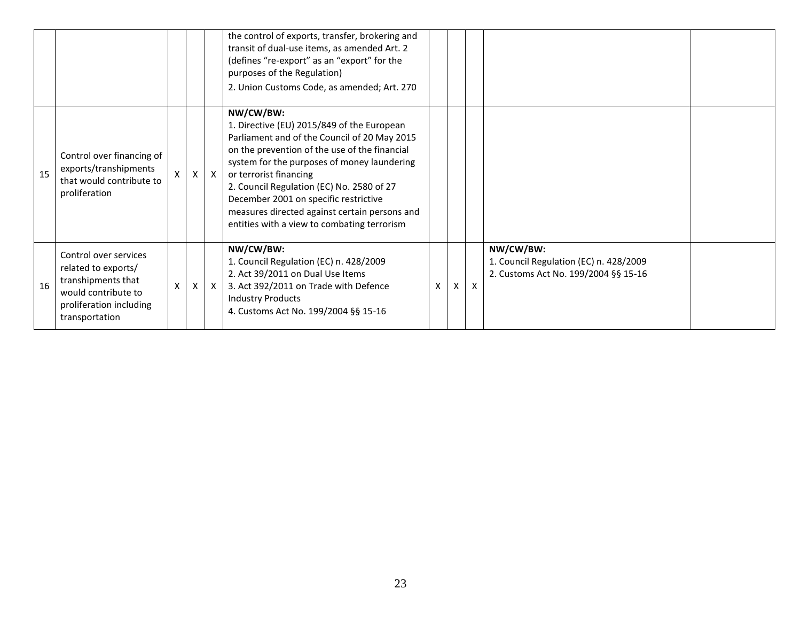|    |                                                                                                                                        |              |              |              | the control of exports, transfer, brokering and<br>transit of dual-use items, as amended Art. 2<br>(defines "re-export" as an "export" for the<br>purposes of the Regulation)<br>2. Union Customs Code, as amended; Art. 270                                                                                                                                                                                            |   |   |              |                                                                                             |  |
|----|----------------------------------------------------------------------------------------------------------------------------------------|--------------|--------------|--------------|-------------------------------------------------------------------------------------------------------------------------------------------------------------------------------------------------------------------------------------------------------------------------------------------------------------------------------------------------------------------------------------------------------------------------|---|---|--------------|---------------------------------------------------------------------------------------------|--|
| 15 | Control over financing of<br>exports/transhipments<br>that would contribute to<br>proliferation                                        | $\mathsf{X}$ | $\mathsf{X}$ | $\mathsf{X}$ | NW/CW/BW:<br>1. Directive (EU) 2015/849 of the European<br>Parliament and of the Council of 20 May 2015<br>on the prevention of the use of the financial<br>system for the purposes of money laundering<br>or terrorist financing<br>2. Council Regulation (EC) No. 2580 of 27<br>December 2001 on specific restrictive<br>measures directed against certain persons and<br>entities with a view to combating terrorism |   |   |              |                                                                                             |  |
| 16 | Control over services<br>related to exports/<br>transhipments that<br>would contribute to<br>proliferation including<br>transportation | X            | X            | $\mathsf{X}$ | NW/CW/BW:<br>1. Council Regulation (EC) n. 428/2009<br>2. Act 39/2011 on Dual Use Items<br>3. Act 392/2011 on Trade with Defence<br><b>Industry Products</b><br>4. Customs Act No. 199/2004 §§ 15-16                                                                                                                                                                                                                    | X | X | $\mathsf{x}$ | NW/CW/BW:<br>1. Council Regulation (EC) n. 428/2009<br>2. Customs Act No. 199/2004 §§ 15-16 |  |